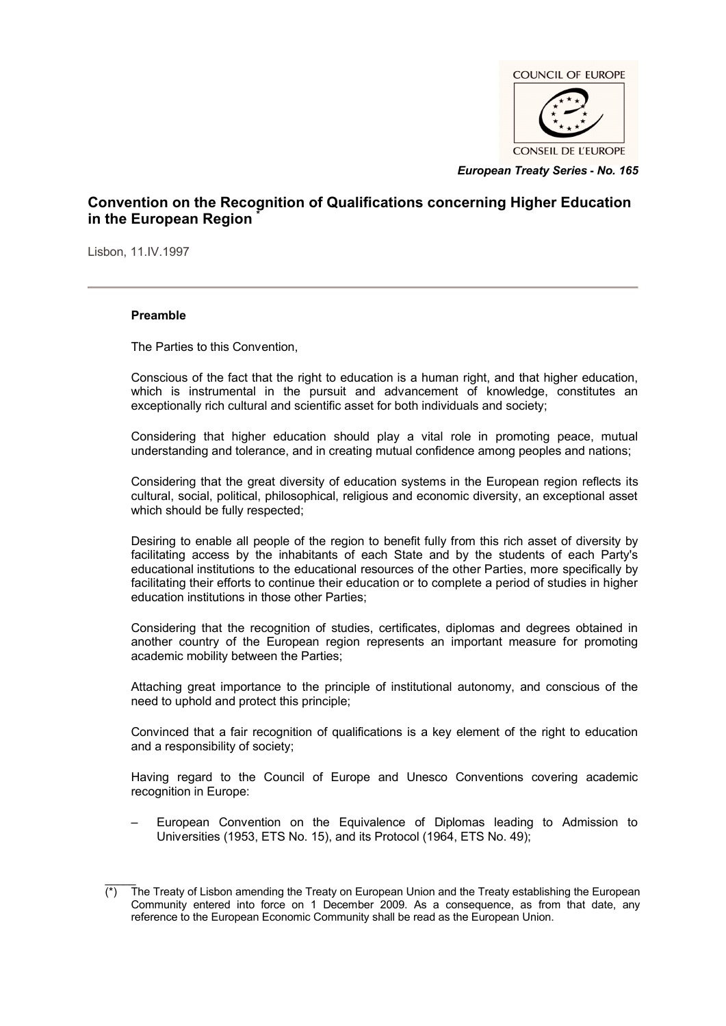

*European Treaty Series* **-** *No. 165*

# **Convention on the Recognition of Qualifications concerning Higher Education in the European Region**

Lisbon, 11.IV.1997

### **Preamble**

The Parties to this Convention,

Conscious of the fact that the right to education is a human right, and that higher education, which is instrumental in the pursuit and advancement of knowledge, constitutes an exceptionally rich cultural and scientific asset for both individuals and society;

Considering that higher education should play a vital role in promoting peace, mutual understanding and tolerance, and in creating mutual confidence among peoples and nations;

Considering that the great diversity of education systems in the European region reflects its cultural, social, political, philosophical, religious and economic diversity, an exceptional asset which should be fully respected;

Desiring to enable all people of the region to benefit fully from this rich asset of diversity by facilitating access by the inhabitants of each State and by the students of each Party's educational institutions to the educational resources of the other Parties, more specifically by facilitating their efforts to continue their education or to complete a period of studies in higher education institutions in those other Parties;

Considering that the recognition of studies, certificates, diplomas and degrees obtained in another country of the European region represents an important measure for promoting academic mobility between the Parties;

Attaching great importance to the principle of institutional autonomy, and conscious of the need to uphold and protect this principle;

Convinced that a fair recognition of qualifications is a key element of the right to education and a responsibility of society;

Having regard to the Council of Europe and Unesco Conventions covering academic recognition in Europe:

– European Convention on the Equivalence of Diplomas leading to Admission to Universities (1953, ETS No. 15), and its Protocol (1964, ETS No. 49);

 $\frac{1}{2}$  $\overline{(*)}$  The Treaty of Lisbon amending the Treaty on European Union and the Treaty establishing the European Community entered into force on 1 December 2009. As a consequence, as from that date, any reference to the European Economic Community shall be read as the European Union.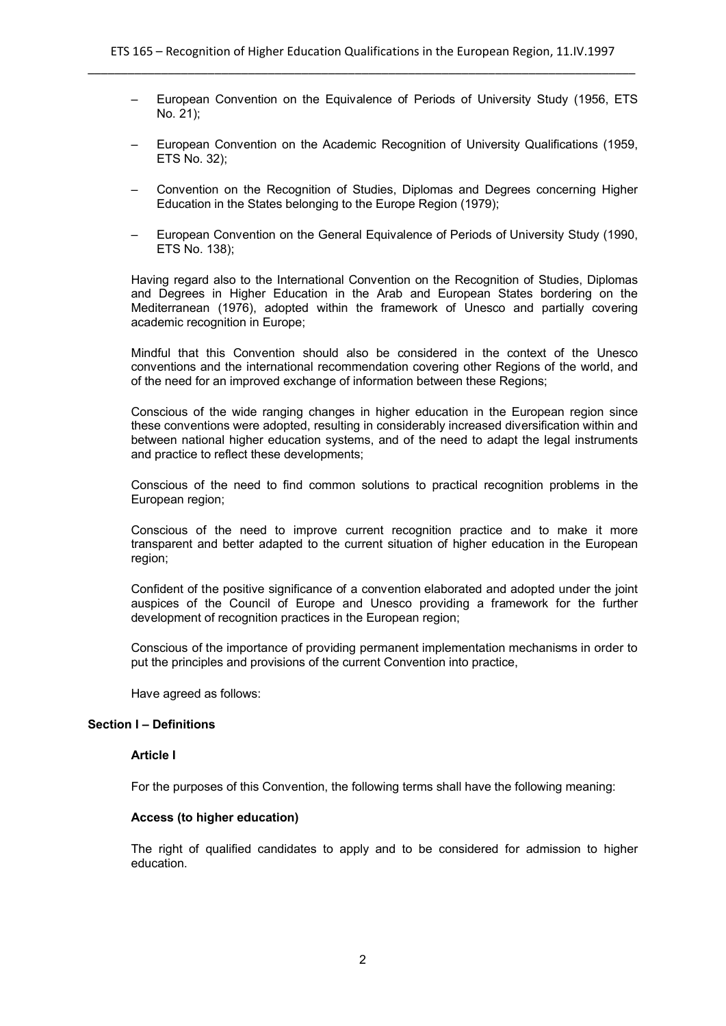- European Convention on the Equivalence of Periods of University Study (1956, ETS No. 21);
- European Convention on the Academic Recognition of University Qualifications (1959, ETS No. 32);
- Convention on the Recognition of Studies, Diplomas and Degrees concerning Higher Education in the States belonging to the Europe Region (1979);
- European Convention on the General Equivalence of Periods of University Study (1990, ETS No. 138);

Having regard also to the International Convention on the Recognition of Studies, Diplomas and Degrees in Higher Education in the Arab and European States bordering on the Mediterranean (1976), adopted within the framework of Unesco and partially covering academic recognition in Europe;

Mindful that this Convention should also be considered in the context of the Unesco conventions and the international recommendation covering other Regions of the world, and of the need for an improved exchange of information between these Regions;

Conscious of the wide ranging changes in higher education in the European region since these conventions were adopted, resulting in considerably increased diversification within and between national higher education systems, and of the need to adapt the legal instruments and practice to reflect these developments;

Conscious of the need to find common solutions to practical recognition problems in the European region;

Conscious of the need to improve current recognition practice and to make it more transparent and better adapted to the current situation of higher education in the European region;

Confident of the positive significance of a convention elaborated and adopted under the joint auspices of the Council of Europe and Unesco providing a framework for the further development of recognition practices in the European region;

Conscious of the importance of providing permanent implementation mechanisms in order to put the principles and provisions of the current Convention into practice,

Have agreed as follows:

#### **Section I – Definitions**

#### **Article I**

For the purposes of this Convention, the following terms shall have the following meaning:

#### **Access (to higher education)**

The right of qualified candidates to apply and to be considered for admission to higher education.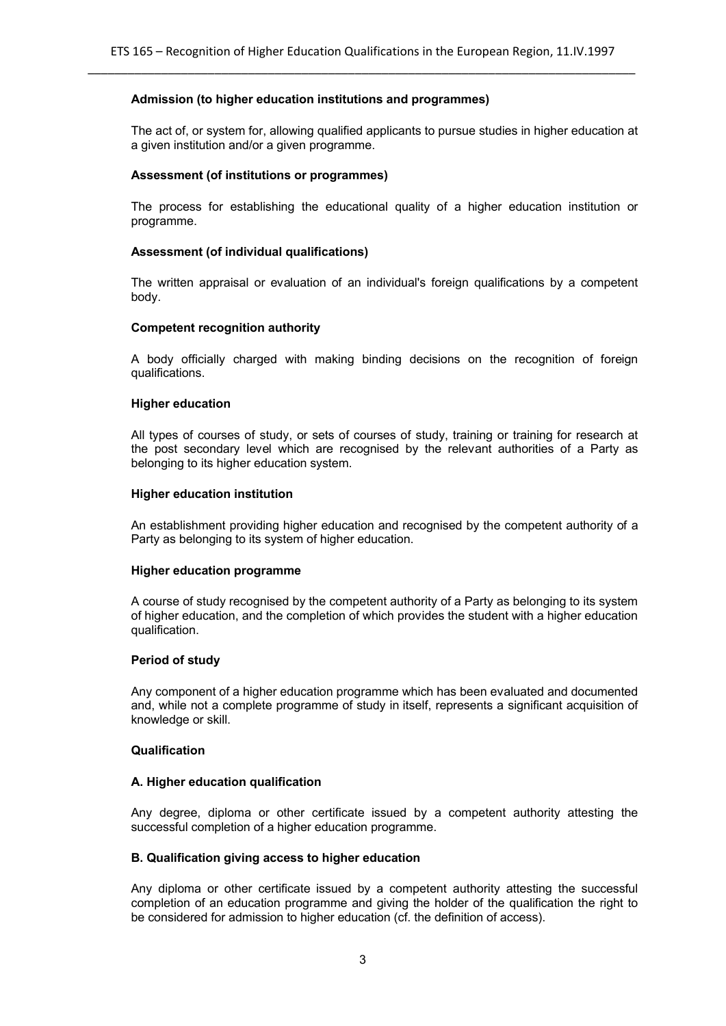### **Admission (to higher education institutions and programmes)**

The act of, or system for, allowing qualified applicants to pursue studies in higher education at a given institution and/or a given programme.

#### **Assessment (of institutions or programmes)**

The process for establishing the educational quality of a higher education institution or programme.

#### **Assessment (of individual qualifications)**

The written appraisal or evaluation of an individual's foreign qualifications by a competent body.

#### **Competent recognition authority**

A body officially charged with making binding decisions on the recognition of foreign qualifications.

#### **Higher education**

All types of courses of study, or sets of courses of study, training or training for research at the post secondary level which are recognised by the relevant authorities of a Party as belonging to its higher education system.

#### **Higher education institution**

An establishment providing higher education and recognised by the competent authority of a Party as belonging to its system of higher education.

#### **Higher education programme**

A course of study recognised by the competent authority of a Party as belonging to its system of higher education, and the completion of which provides the student with a higher education qualification.

#### **Period of study**

Any component of a higher education programme which has been evaluated and documented and, while not a complete programme of study in itself, represents a significant acquisition of knowledge or skill.

#### **Qualification**

#### **A. Higher education qualification**

Any degree, diploma or other certificate issued by a competent authority attesting the successful completion of a higher education programme.

#### **B. Qualification giving access to higher education**

Any diploma or other certificate issued by a competent authority attesting the successful completion of an education programme and giving the holder of the qualification the right to be considered for admission to higher education (cf. the definition of access).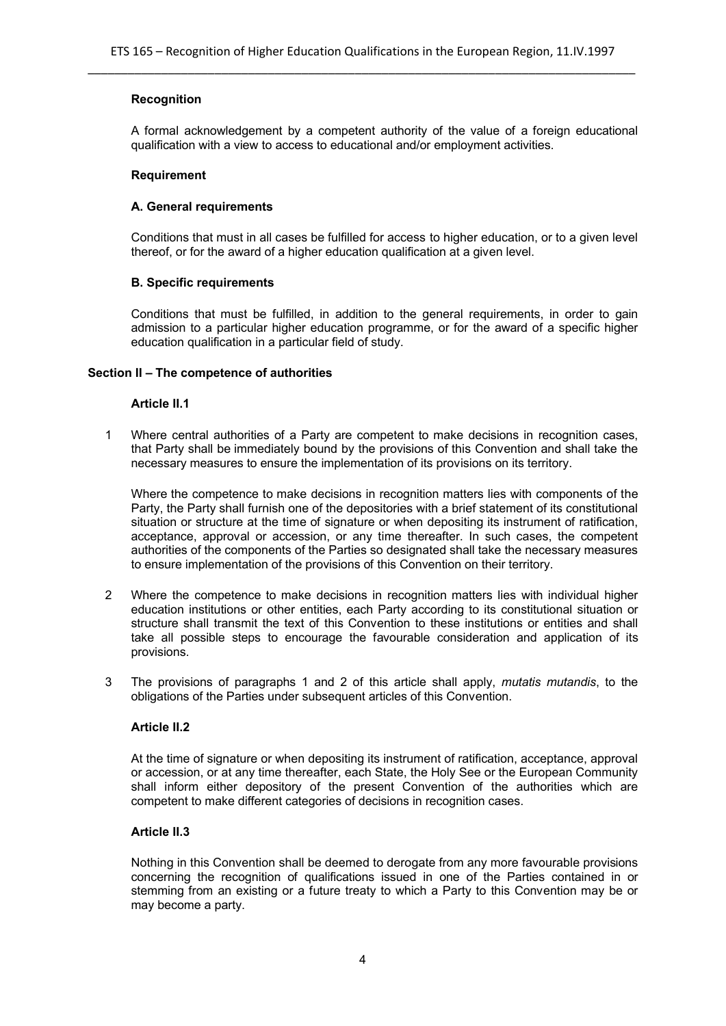## **Recognition**

A formal acknowledgement by a competent authority of the value of a foreign educational qualification with a view to access to educational and/or employment activities.

#### **Requirement**

### **A. General requirements**

Conditions that must in all cases be fulfilled for access to higher education, or to a given level thereof, or for the award of a higher education qualification at a given level.

### **B. Specific requirements**

Conditions that must be fulfilled, in addition to the general requirements, in order to gain admission to a particular higher education programme, or for the award of a specific higher education qualification in a particular field of study.

### **Section II – The competence of authorities**

### **Article II.1**

1 Where central authorities of a Party are competent to make decisions in recognition cases, that Party shall be immediately bound by the provisions of this Convention and shall take the necessary measures to ensure the implementation of its provisions on its territory.

Where the competence to make decisions in recognition matters lies with components of the Party, the Party shall furnish one of the depositories with a brief statement of its constitutional situation or structure at the time of signature or when depositing its instrument of ratification, acceptance, approval or accession, or any time thereafter. In such cases, the competent authorities of the components of the Parties so designated shall take the necessary measures to ensure implementation of the provisions of this Convention on their territory.

- 2 Where the competence to make decisions in recognition matters lies with individual higher education institutions or other entities, each Party according to its constitutional situation or structure shall transmit the text of this Convention to these institutions or entities and shall take all possible steps to encourage the favourable consideration and application of its provisions.
- 3 The provisions of paragraphs 1 and 2 of this article shall apply, *mutatis mutandis*, to the obligations of the Parties under subsequent articles of this Convention.

#### **Article II.2**

At the time of signature or when depositing its instrument of ratification, acceptance, approval or accession, or at any time thereafter, each State, the Holy See or the European Community shall inform either depository of the present Convention of the authorities which are competent to make different categories of decisions in recognition cases.

## **Article II.3**

Nothing in this Convention shall be deemed to derogate from any more favourable provisions concerning the recognition of qualifications issued in one of the Parties contained in or stemming from an existing or a future treaty to which a Party to this Convention may be or may become a party.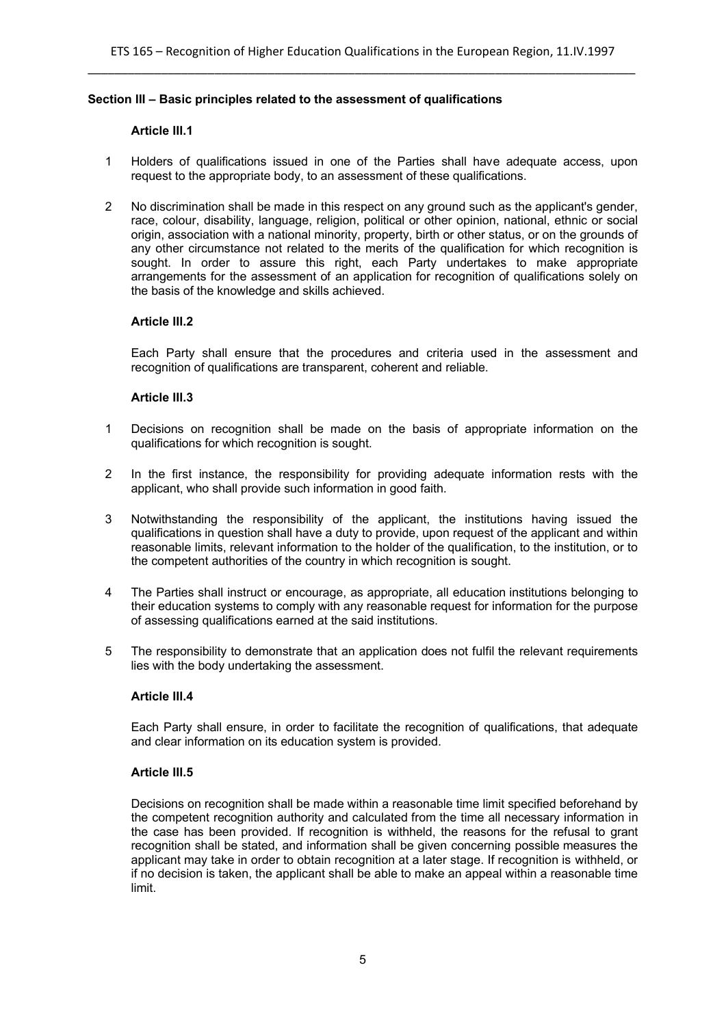## **Section III – Basic principles related to the assessment of qualifications**

### **Article III.1**

- 1 Holders of qualifications issued in one of the Parties shall have adequate access, upon request to the appropriate body, to an assessment of these qualifications.
- 2 No discrimination shall be made in this respect on any ground such as the applicant's gender, race, colour, disability, language, religion, political or other opinion, national, ethnic or social origin, association with a national minority, property, birth or other status, or on the grounds of any other circumstance not related to the merits of the qualification for which recognition is sought. In order to assure this right, each Party undertakes to make appropriate arrangements for the assessment of an application for recognition of qualifications solely on the basis of the knowledge and skills achieved.

### **Article III.2**

Each Party shall ensure that the procedures and criteria used in the assessment and recognition of qualifications are transparent, coherent and reliable.

### **Article III.3**

- 1 Decisions on recognition shall be made on the basis of appropriate information on the qualifications for which recognition is sought.
- 2 In the first instance, the responsibility for providing adequate information rests with the applicant, who shall provide such information in good faith.
- 3 Notwithstanding the responsibility of the applicant, the institutions having issued the qualifications in question shall have a duty to provide, upon request of the applicant and within reasonable limits, relevant information to the holder of the qualification, to the institution, or to the competent authorities of the country in which recognition is sought.
- 4 The Parties shall instruct or encourage, as appropriate, all education institutions belonging to their education systems to comply with any reasonable request for information for the purpose of assessing qualifications earned at the said institutions.
- 5 The responsibility to demonstrate that an application does not fulfil the relevant requirements lies with the body undertaking the assessment.

## **Article III.4**

Each Party shall ensure, in order to facilitate the recognition of qualifications, that adequate and clear information on its education system is provided.

## **Article III.5**

Decisions on recognition shall be made within a reasonable time limit specified beforehand by the competent recognition authority and calculated from the time all necessary information in the case has been provided. If recognition is withheld, the reasons for the refusal to grant recognition shall be stated, and information shall be given concerning possible measures the applicant may take in order to obtain recognition at a later stage. If recognition is withheld, or if no decision is taken, the applicant shall be able to make an appeal within a reasonable time limit.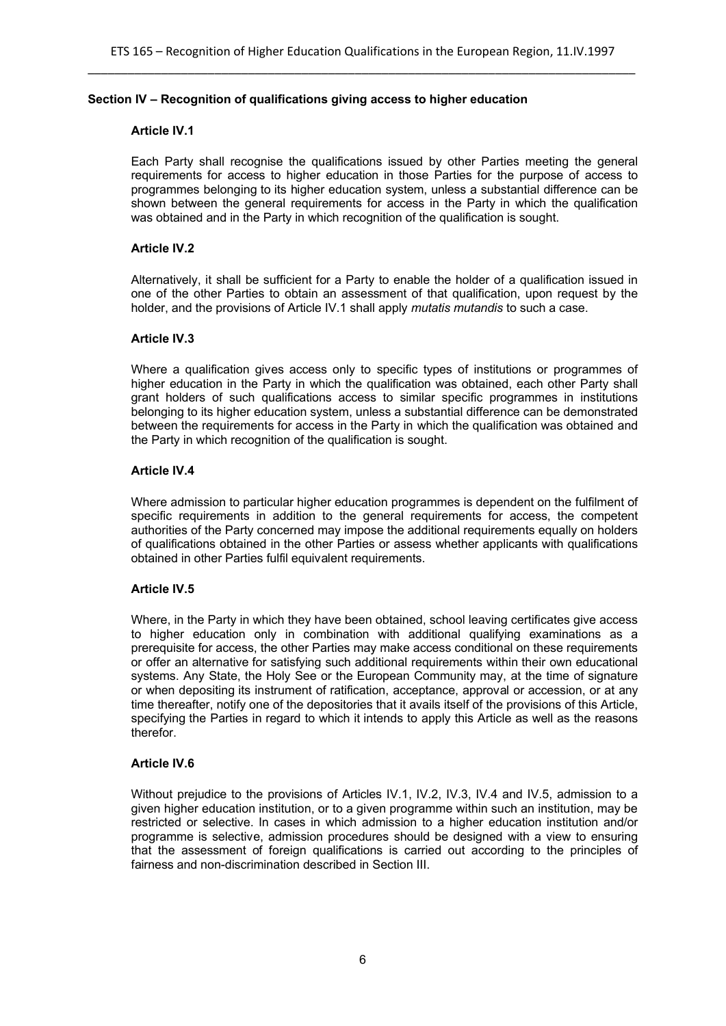## **Section IV – Recognition of qualifications giving access to higher education**

## **Article IV.1**

Each Party shall recognise the qualifications issued by other Parties meeting the general requirements for access to higher education in those Parties for the purpose of access to programmes belonging to its higher education system, unless a substantial difference can be shown between the general requirements for access in the Party in which the qualification was obtained and in the Party in which recognition of the qualification is sought.

## **Article IV.2**

Alternatively, it shall be sufficient for a Party to enable the holder of a qualification issued in one of the other Parties to obtain an assessment of that qualification, upon request by the holder, and the provisions of Article IV.1 shall apply *mutatis mutandis* to such a case.

## **Article IV.3**

Where a qualification gives access only to specific types of institutions or programmes of higher education in the Party in which the qualification was obtained, each other Party shall grant holders of such qualifications access to similar specific programmes in institutions belonging to its higher education system, unless a substantial difference can be demonstrated between the requirements for access in the Party in which the qualification was obtained and the Party in which recognition of the qualification is sought.

## **Article IV.4**

Where admission to particular higher education programmes is dependent on the fulfilment of specific requirements in addition to the general requirements for access, the competent authorities of the Party concerned may impose the additional requirements equally on holders of qualifications obtained in the other Parties or assess whether applicants with qualifications obtained in other Parties fulfil equivalent requirements.

## **Article IV.5**

Where, in the Party in which they have been obtained, school leaving certificates give access to higher education only in combination with additional qualifying examinations as a prerequisite for access, the other Parties may make access conditional on these requirements or offer an alternative for satisfying such additional requirements within their own educational systems. Any State, the Holy See or the European Community may, at the time of signature or when depositing its instrument of ratification, acceptance, approval or accession, or at any time thereafter, notify one of the depositories that it avails itself of the provisions of this Article, specifying the Parties in regard to which it intends to apply this Article as well as the reasons therefor.

#### **Article IV.6**

Without prejudice to the provisions of Articles IV.1, IV.2, IV.3, IV.4 and IV.5, admission to a given higher education institution, or to a given programme within such an institution, may be restricted or selective. In cases in which admission to a higher education institution and/or programme is selective, admission procedures should be designed with a view to ensuring that the assessment of foreign qualifications is carried out according to the principles of fairness and non-discrimination described in Section III.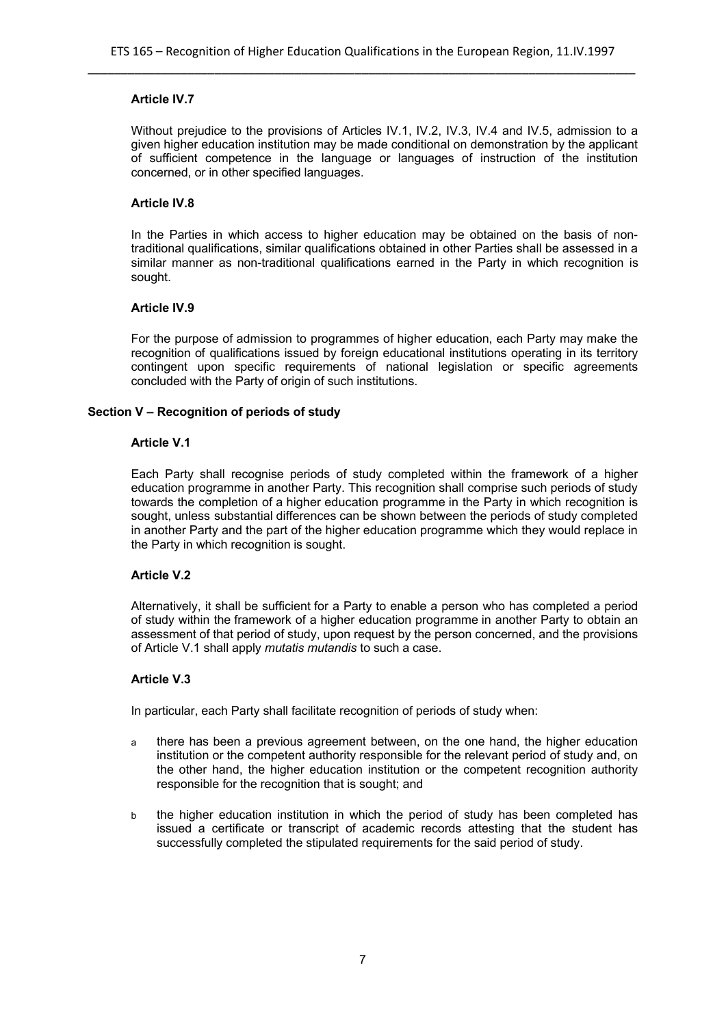## **Article IV.7**

Without prejudice to the provisions of Articles IV.1, IV.2, IV.3, IV.4 and IV.5, admission to a given higher education institution may be made conditional on demonstration by the applicant of sufficient competence in the language or languages of instruction of the institution concerned, or in other specified languages.

### **Article IV.8**

In the Parties in which access to higher education may be obtained on the basis of nontraditional qualifications, similar qualifications obtained in other Parties shall be assessed in a similar manner as non-traditional qualifications earned in the Party in which recognition is sought.

#### **Article IV.9**

For the purpose of admission to programmes of higher education, each Party may make the recognition of qualifications issued by foreign educational institutions operating in its territory contingent upon specific requirements of national legislation or specific agreements concluded with the Party of origin of such institutions.

### **Section V – Recognition of periods of study**

#### **Article V.1**

Each Party shall recognise periods of study completed within the framework of a higher education programme in another Party. This recognition shall comprise such periods of study towards the completion of a higher education programme in the Party in which recognition is sought, unless substantial differences can be shown between the periods of study completed in another Party and the part of the higher education programme which they would replace in the Party in which recognition is sought.

## **Article V.2**

Alternatively, it shall be sufficient for a Party to enable a person who has completed a period of study within the framework of a higher education programme in another Party to obtain an assessment of that period of study, upon request by the person concerned, and the provisions of Article V.1 shall apply *mutatis mutandis* to such a case.

## **Article V.3**

In particular, each Party shall facilitate recognition of periods of study when:

- a there has been a previous agreement between, on the one hand, the higher education institution or the competent authority responsible for the relevant period of study and, on the other hand, the higher education institution or the competent recognition authority responsible for the recognition that is sought; and
- b the higher education institution in which the period of study has been completed has issued a certificate or transcript of academic records attesting that the student has successfully completed the stipulated requirements for the said period of study.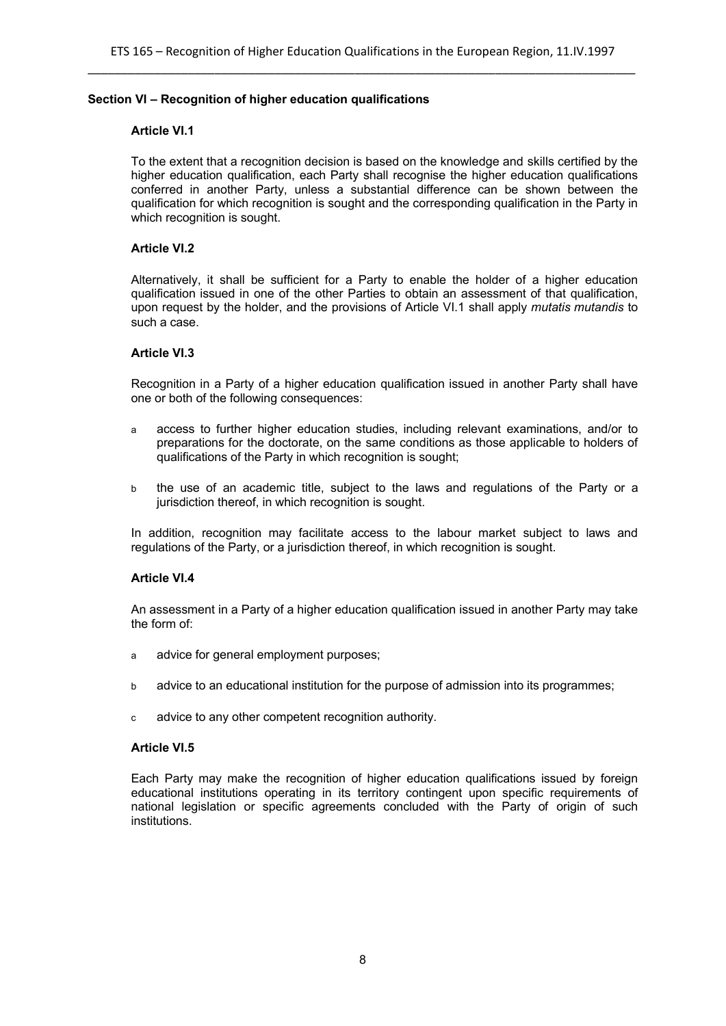## **Section VI – Recognition of higher education qualifications**

### **Article VI.1**

To the extent that a recognition decision is based on the knowledge and skills certified by the higher education qualification, each Party shall recognise the higher education qualifications conferred in another Party, unless a substantial difference can be shown between the qualification for which recognition is sought and the corresponding qualification in the Party in which recognition is sought.

#### **Article VI.2**

Alternatively, it shall be sufficient for a Party to enable the holder of a higher education qualification issued in one of the other Parties to obtain an assessment of that qualification, upon request by the holder, and the provisions of Article VI.1 shall apply *mutatis mutandis* to such a case.

#### **Article VI.3**

Recognition in a Party of a higher education qualification issued in another Party shall have one or both of the following consequences:

- a access to further higher education studies, including relevant examinations, and/or to preparations for the doctorate, on the same conditions as those applicable to holders of qualifications of the Party in which recognition is sought;
- b the use of an academic title, subject to the laws and regulations of the Party or a jurisdiction thereof, in which recognition is sought.

In addition, recognition may facilitate access to the labour market subject to laws and regulations of the Party, or a jurisdiction thereof, in which recognition is sought.

#### **Article VI.4**

An assessment in a Party of a higher education qualification issued in another Party may take the form of:

- a advice for general employment purposes;
- b advice to an educational institution for the purpose of admission into its programmes;
- c advice to any other competent recognition authority.

## **Article VI.5**

Each Party may make the recognition of higher education qualifications issued by foreign educational institutions operating in its territory contingent upon specific requirements of national legislation or specific agreements concluded with the Party of origin of such institutions.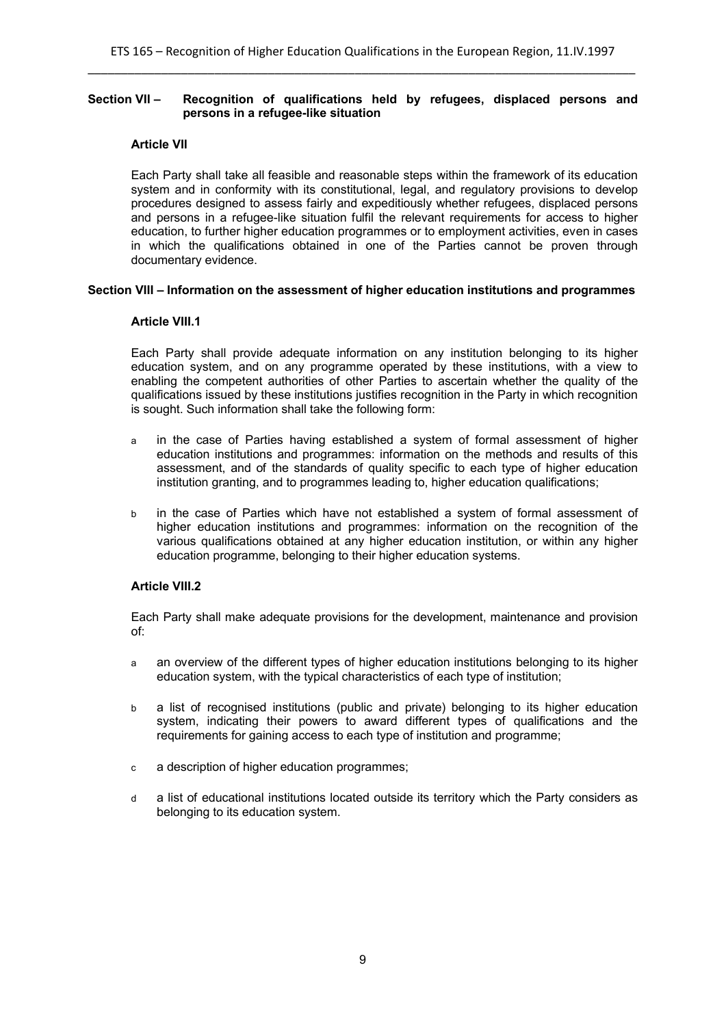### **Section VII – Recognition of qualifications held by refugees, displaced persons and persons in a refugee-like situation**

## **Article VII**

Each Party shall take all feasible and reasonable steps within the framework of its education system and in conformity with its constitutional, legal, and regulatory provisions to develop procedures designed to assess fairly and expeditiously whether refugees, displaced persons and persons in a refugee-like situation fulfil the relevant requirements for access to higher education, to further higher education programmes or to employment activities, even in cases in which the qualifications obtained in one of the Parties cannot be proven through documentary evidence.

### **Section VIII – Information on the assessment of higher education institutions and programmes**

### **Article VIII.1**

Each Party shall provide adequate information on any institution belonging to its higher education system, and on any programme operated by these institutions, with a view to enabling the competent authorities of other Parties to ascertain whether the quality of the qualifications issued by these institutions justifies recognition in the Party in which recognition is sought. Such information shall take the following form:

- a in the case of Parties having established a system of formal assessment of higher education institutions and programmes: information on the methods and results of this assessment, and of the standards of quality specific to each type of higher education institution granting, and to programmes leading to, higher education qualifications;
- b in the case of Parties which have not established a system of formal assessment of higher education institutions and programmes: information on the recognition of the various qualifications obtained at any higher education institution, or within any higher education programme, belonging to their higher education systems.

## **Article VIII.2**

Each Party shall make adequate provisions for the development, maintenance and provision of:

- a an overview of the different types of higher education institutions belonging to its higher education system, with the typical characteristics of each type of institution;
- b a list of recognised institutions (public and private) belonging to its higher education system, indicating their powers to award different types of qualifications and the requirements for gaining access to each type of institution and programme;
- c a description of higher education programmes;
- d a list of educational institutions located outside its territory which the Party considers as belonging to its education system.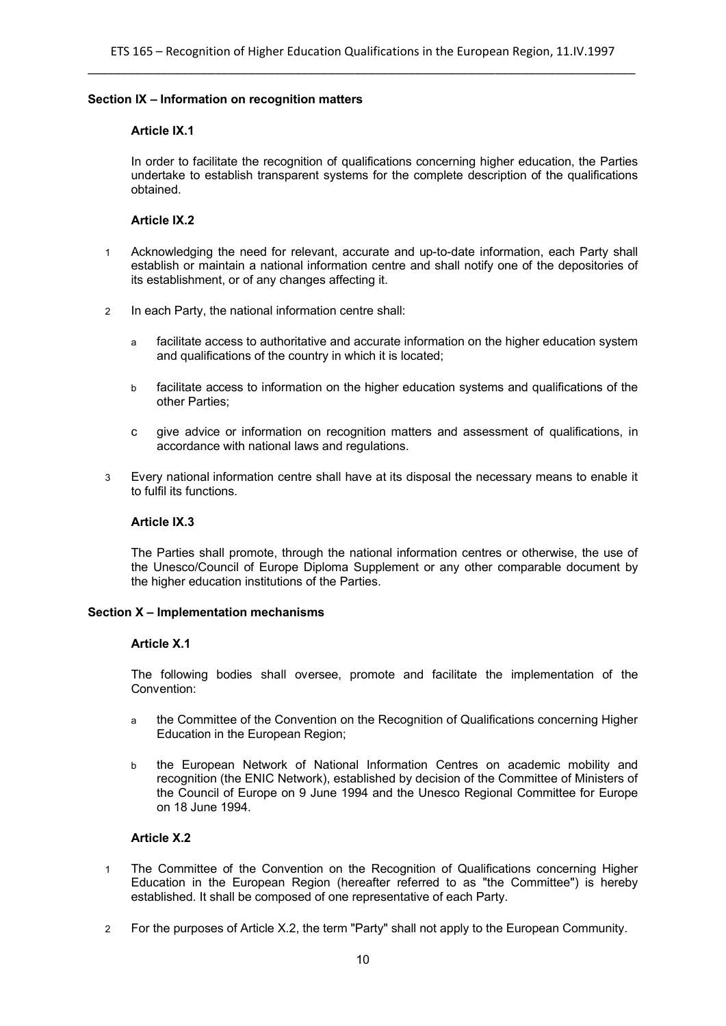## **Section IX – Information on recognition matters**

### **Article IX.1**

In order to facilitate the recognition of qualifications concerning higher education, the Parties undertake to establish transparent systems for the complete description of the qualifications obtained.

## **Article IX.2**

- 1 Acknowledging the need for relevant, accurate and up-to-date information, each Party shall establish or maintain a national information centre and shall notify one of the depositories of its establishment, or of any changes affecting it.
- 2 In each Party, the national information centre shall:
	- a facilitate access to authoritative and accurate information on the higher education system and qualifications of the country in which it is located;
	- b facilitate access to information on the higher education systems and qualifications of the other Parties;
	- c give advice or information on recognition matters and assessment of qualifications, in accordance with national laws and regulations.
- 3 Every national information centre shall have at its disposal the necessary means to enable it to fulfil its functions.

#### **Article IX.3**

The Parties shall promote, through the national information centres or otherwise, the use of the Unesco/Council of Europe Diploma Supplement or any other comparable document by the higher education institutions of the Parties.

#### **Section X – Implementation mechanisms**

#### **Article X.1**

The following bodies shall oversee, promote and facilitate the implementation of the Convention:

- a the Committee of the Convention on the Recognition of Qualifications concerning Higher Education in the European Region;
- b the European Network of National Information Centres on academic mobility and recognition (the ENIC Network), established by decision of the Committee of Ministers of the Council of Europe on 9 June 1994 and the Unesco Regional Committee for Europe on 18 June 1994.

## **Article X.2**

- 1 The Committee of the Convention on the Recognition of Qualifications concerning Higher Education in the European Region (hereafter referred to as "the Committee") is hereby established. It shall be composed of one representative of each Party.
- 2 For the purposes of Article X.2, the term "Party" shall not apply to the European Community.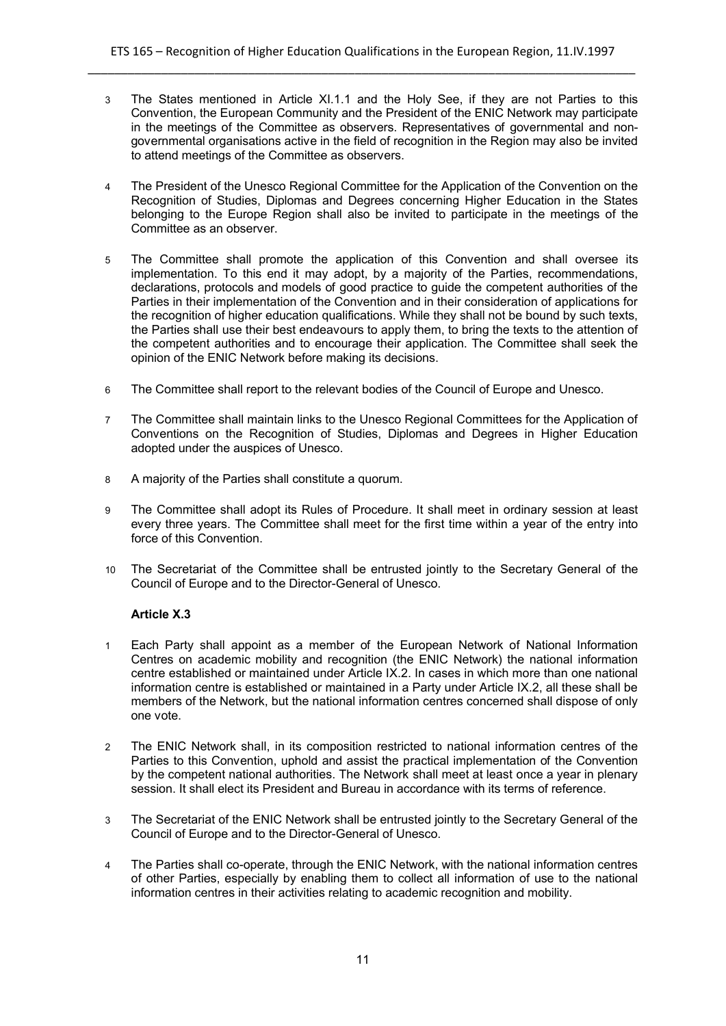- 3 The States mentioned in Article XI.1.1 and the Holy See, if they are not Parties to this Convention, the European Community and the President of the ENIC Network may participate in the meetings of the Committee as observers. Representatives of governmental and nongovernmental organisations active in the field of recognition in the Region may also be invited to attend meetings of the Committee as observers.
- 4 The President of the Unesco Regional Committee for the Application of the Convention on the Recognition of Studies, Diplomas and Degrees concerning Higher Education in the States belonging to the Europe Region shall also be invited to participate in the meetings of the Committee as an observer.
- 5 The Committee shall promote the application of this Convention and shall oversee its implementation. To this end it may adopt, by a majority of the Parties, recommendations, declarations, protocols and models of good practice to guide the competent authorities of the Parties in their implementation of the Convention and in their consideration of applications for the recognition of higher education qualifications. While they shall not be bound by such texts, the Parties shall use their best endeavours to apply them, to bring the texts to the attention of the competent authorities and to encourage their application. The Committee shall seek the opinion of the ENIC Network before making its decisions.
- 6 The Committee shall report to the relevant bodies of the Council of Europe and Unesco.
- 7 The Committee shall maintain links to the Unesco Regional Committees for the Application of Conventions on the Recognition of Studies, Diplomas and Degrees in Higher Education adopted under the auspices of Unesco.
- 8 A majority of the Parties shall constitute a quorum.
- 9 The Committee shall adopt its Rules of Procedure. It shall meet in ordinary session at least every three years. The Committee shall meet for the first time within a year of the entry into force of this Convention.
- 10 The Secretariat of the Committee shall be entrusted jointly to the Secretary General of the Council of Europe and to the Director-General of Unesco.

## **Article X.3**

- 1 Each Party shall appoint as a member of the European Network of National Information Centres on academic mobility and recognition (the ENIC Network) the national information centre established or maintained under Article IX.2. In cases in which more than one national information centre is established or maintained in a Party under Article IX.2, all these shall be members of the Network, but the national information centres concerned shall dispose of only one vote.
- 2 The ENIC Network shall, in its composition restricted to national information centres of the Parties to this Convention, uphold and assist the practical implementation of the Convention by the competent national authorities. The Network shall meet at least once a year in plenary session. It shall elect its President and Bureau in accordance with its terms of reference.
- 3 The Secretariat of the ENIC Network shall be entrusted jointly to the Secretary General of the Council of Europe and to the Director-General of Unesco.
- 4 The Parties shall co-operate, through the ENIC Network, with the national information centres of other Parties, especially by enabling them to collect all information of use to the national information centres in their activities relating to academic recognition and mobility.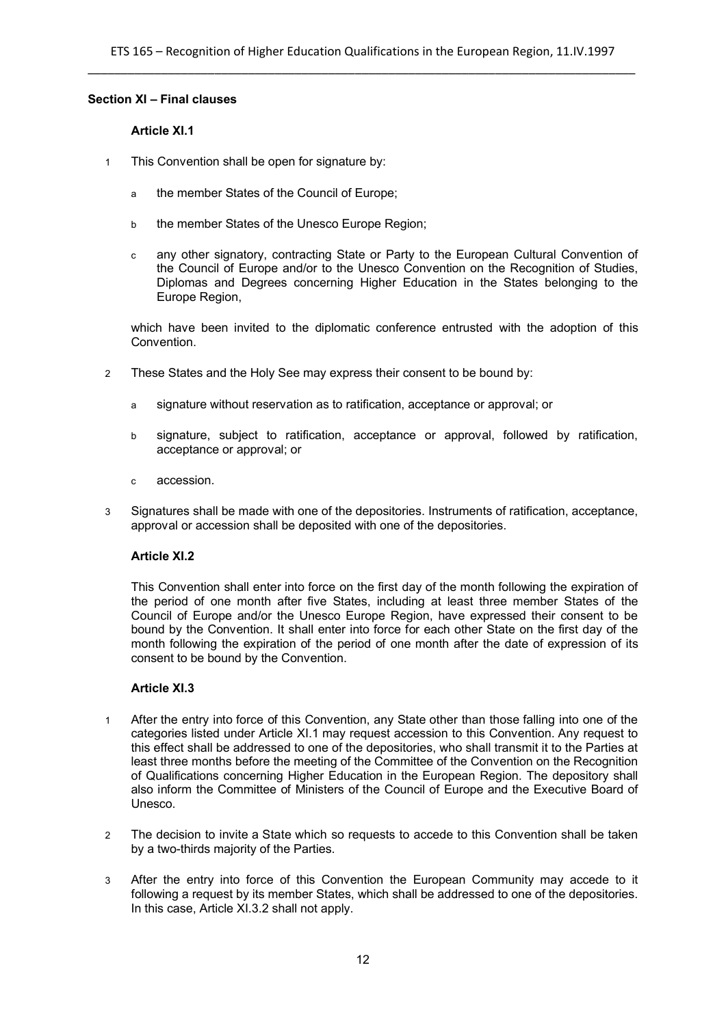## **Section XI – Final clauses**

### **Article XI.1**

- 1 This Convention shall be open for signature by:
	- a the member States of the Council of Europe;
	- b the member States of the Unesco Europe Region;
	- c any other signatory, contracting State or Party to the European Cultural Convention of the Council of Europe and/or to the Unesco Convention on the Recognition of Studies, Diplomas and Degrees concerning Higher Education in the States belonging to the Europe Region,

which have been invited to the diplomatic conference entrusted with the adoption of this Convention.

- 2 These States and the Holy See may express their consent to be bound by:
	- a signature without reservation as to ratification, acceptance or approval; or
	- b signature, subject to ratification, acceptance or approval, followed by ratification, acceptance or approval; or
	- c accession.
- 3 Signatures shall be made with one of the depositories. Instruments of ratification, acceptance, approval or accession shall be deposited with one of the depositories.

### **Article XI.2**

This Convention shall enter into force on the first day of the month following the expiration of the period of one month after five States, including at least three member States of the Council of Europe and/or the Unesco Europe Region, have expressed their consent to be bound by the Convention. It shall enter into force for each other State on the first day of the month following the expiration of the period of one month after the date of expression of its consent to be bound by the Convention.

### **Article XI.3**

- 1 After the entry into force of this Convention, any State other than those falling into one of the categories listed under Article XI.1 may request accession to this Convention. Any request to this effect shall be addressed to one of the depositories, who shall transmit it to the Parties at least three months before the meeting of the Committee of the Convention on the Recognition of Qualifications concerning Higher Education in the European Region. The depository shall also inform the Committee of Ministers of the Council of Europe and the Executive Board of Unesco.
- 2 The decision to invite a State which so requests to accede to this Convention shall be taken by a two-thirds majority of the Parties.
- 3 After the entry into force of this Convention the European Community may accede to it following a request by its member States, which shall be addressed to one of the depositories. In this case, Article XI.3.2 shall not apply.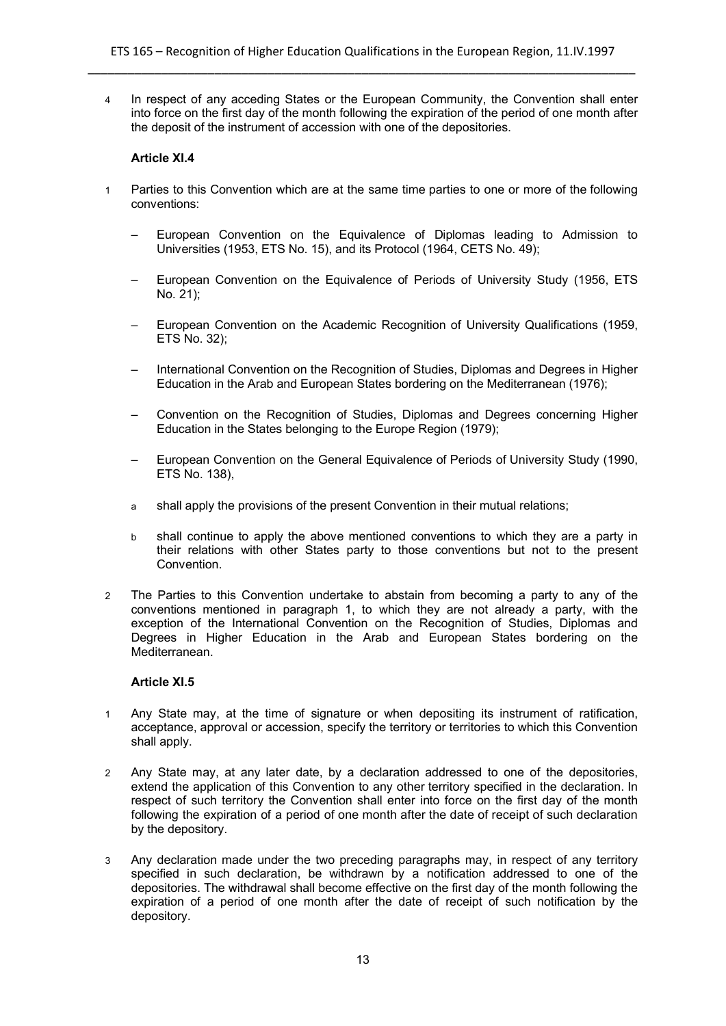4 In respect of any acceding States or the European Community, the Convention shall enter into force on the first day of the month following the expiration of the period of one month after the deposit of the instrument of accession with one of the depositories.

## **Article XI.4**

- 1 Parties to this Convention which are at the same time parties to one or more of the following conventions:
	- European Convention on the Equivalence of Diplomas leading to Admission to Universities (1953, ETS No. 15), and its Protocol (1964, CETS No. 49);
	- European Convention on the Equivalence of Periods of University Study (1956, ETS No. 21);
	- European Convention on the Academic Recognition of University Qualifications (1959, ETS No. 32);
	- International Convention on the Recognition of Studies, Diplomas and Degrees in Higher Education in the Arab and European States bordering on the Mediterranean (1976);
	- Convention on the Recognition of Studies, Diplomas and Degrees concerning Higher Education in the States belonging to the Europe Region (1979);
	- European Convention on the General Equivalence of Periods of University Study (1990, ETS No. 138),
	- a shall apply the provisions of the present Convention in their mutual relations;
	- b shall continue to apply the above mentioned conventions to which they are a party in their relations with other States party to those conventions but not to the present Convention.
- 2 The Parties to this Convention undertake to abstain from becoming a party to any of the conventions mentioned in paragraph 1, to which they are not already a party, with the exception of the International Convention on the Recognition of Studies, Diplomas and Degrees in Higher Education in the Arab and European States bordering on the Mediterranean.

## **Article XI.5**

- 1 Any State may, at the time of signature or when depositing its instrument of ratification, acceptance, approval or accession, specify the territory or territories to which this Convention shall apply.
- 2 Any State may, at any later date, by a declaration addressed to one of the depositories, extend the application of this Convention to any other territory specified in the declaration. In respect of such territory the Convention shall enter into force on the first day of the month following the expiration of a period of one month after the date of receipt of such declaration by the depository.
- 3 Any declaration made under the two preceding paragraphs may, in respect of any territory specified in such declaration, be withdrawn by a notification addressed to one of the depositories. The withdrawal shall become effective on the first day of the month following the expiration of a period of one month after the date of receipt of such notification by the depository.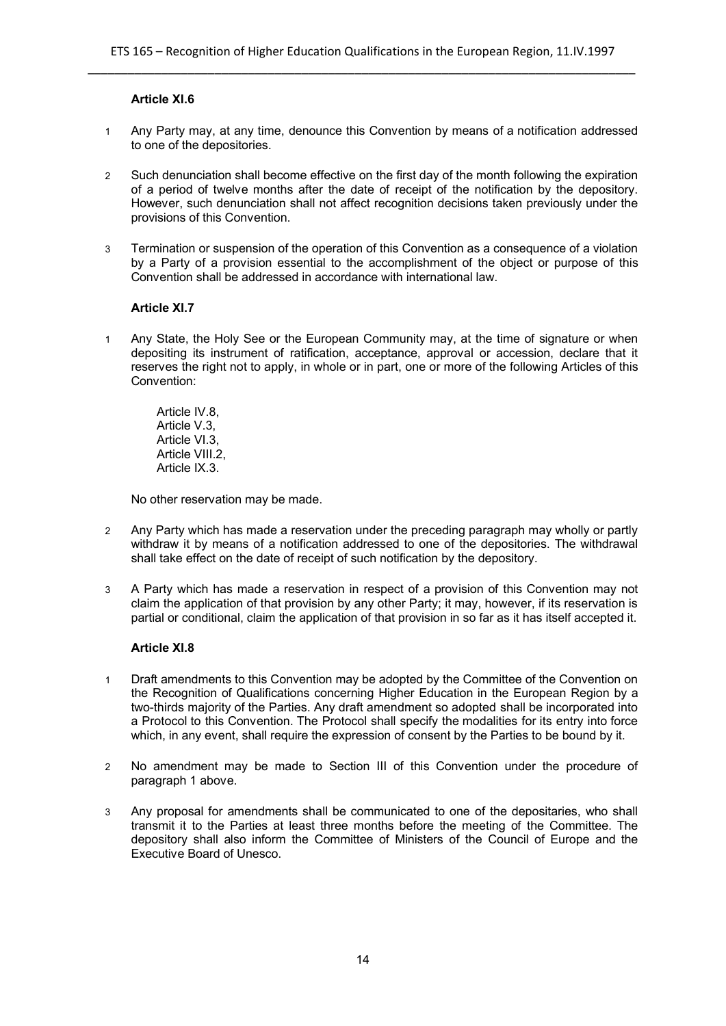## **Article XI.6**

- 1 Any Party may, at any time, denounce this Convention by means of a notification addressed to one of the depositories.
- 2 Such denunciation shall become effective on the first day of the month following the expiration of a period of twelve months after the date of receipt of the notification by the depository. However, such denunciation shall not affect recognition decisions taken previously under the provisions of this Convention.
- 3 Termination or suspension of the operation of this Convention as a consequence of a violation by a Party of a provision essential to the accomplishment of the object or purpose of this Convention shall be addressed in accordance with international law.

### **Article XI.7**

1 Any State, the Holy See or the European Community may, at the time of signature or when depositing its instrument of ratification, acceptance, approval or accession, declare that it reserves the right not to apply, in whole or in part, one or more of the following Articles of this Convention:

Article IV.8, Article V.3, Article VI.3, Article VIII.2, Article IX.3.

No other reservation may be made.

- 2 Any Party which has made a reservation under the preceding paragraph may wholly or partly withdraw it by means of a notification addressed to one of the depositories. The withdrawal shall take effect on the date of receipt of such notification by the depository.
- 3 A Party which has made a reservation in respect of a provision of this Convention may not claim the application of that provision by any other Party; it may, however, if its reservation is partial or conditional, claim the application of that provision in so far as it has itself accepted it.

## **Article XI.8**

- 1 Draft amendments to this Convention may be adopted by the Committee of the Convention on the Recognition of Qualifications concerning Higher Education in the European Region by a two-thirds majority of the Parties. Any draft amendment so adopted shall be incorporated into a Protocol to this Convention. The Protocol shall specify the modalities for its entry into force which, in any event, shall require the expression of consent by the Parties to be bound by it.
- 2 No amendment may be made to Section III of this Convention under the procedure of paragraph 1 above.
- 3 Any proposal for amendments shall be communicated to one of the depositaries, who shall transmit it to the Parties at least three months before the meeting of the Committee. The depository shall also inform the Committee of Ministers of the Council of Europe and the Executive Board of Unesco.